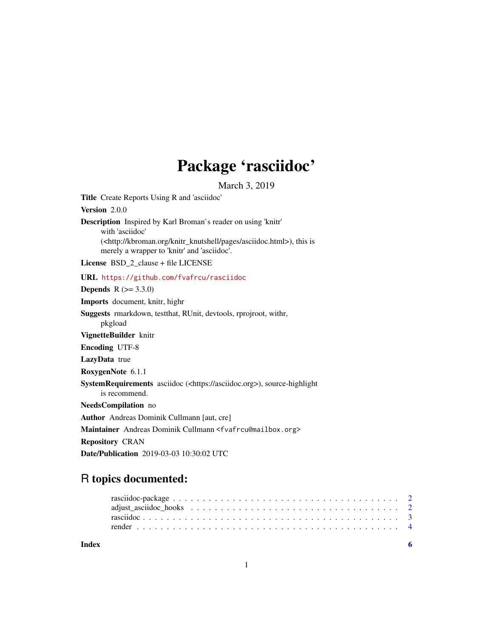## Package 'rasciidoc'

March 3, 2019

<span id="page-0-0"></span>Title Create Reports Using R and 'asciidoc'

#### Version 2.0.0

Description Inspired by Karl Broman`s reader on using 'knitr' with 'asciidoc' (<http://kbroman.org/knitr\_knutshell/pages/asciidoc.html>), this is merely a wrapper to 'knitr' and 'asciidoc'.

License BSD\_2\_clause + file LICENSE

#### URL <https://github.com/fvafrcu/rasciidoc>

**Depends**  $R (= 3.3.0)$ 

Imports document, knitr, highr

Suggests rmarkdown, testthat, RUnit, devtools, rprojroot, withr, pkgload

VignetteBuilder knitr

Encoding UTF-8

LazyData true

RoxygenNote 6.1.1

SystemRequirements asciidoc (<https://asciidoc.org>), source-highlight is recommend.

NeedsCompilation no

Author Andreas Dominik Cullmann [aut, cre]

Maintainer Andreas Dominik Cullmann <fvafrcu@mailbox.org>

Repository CRAN

Date/Publication 2019-03-03 10:30:02 UTC

### R topics documented:

**Index** [6](#page-5-0) **6**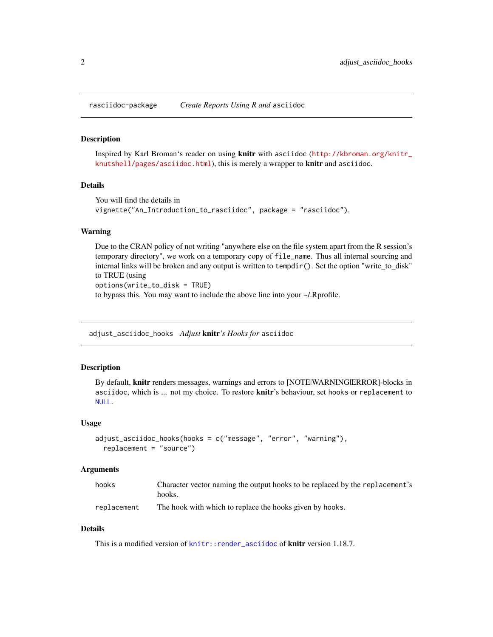<span id="page-1-0"></span>rasciidoc-package *Create Reports Using R and* asciidoc

#### Description

Inspired by Karl Broman's reader on using knitr with asciidoc ([http://kbroman.org/knitr\\_](http://kbroman.org/knitr_knutshell/pages/asciidoc.html) [knutshell/pages/asciidoc.html](http://kbroman.org/knitr_knutshell/pages/asciidoc.html)), this is merely a wrapper to **knitr** and asciidoc.

#### Details

```
You will find the details in
vignette("An_Introduction_to_rasciidoc", package = "rasciidoc").
```
#### Warning

Due to the CRAN policy of not writing "anywhere else on the file system apart from the R session's temporary directory", we work on a temporary copy of file\_name. Thus all internal sourcing and internal links will be broken and any output is written to tempdir(). Set the option "write\_to\_disk" to TRUE (using

options(write\_to\_disk = TRUE)

to bypass this. You may want to include the above line into your ~/.Rprofile.

adjust\_asciidoc\_hooks *Adjust* knitr*'s Hooks for* asciidoc

#### Description

By default, knitr renders messages, warnings and errors to [NOTE|WARNING|ERROR]-blocks in asciidoc, which is ... not my choice. To restore knitr's behaviour, set hooks or replacement to [NULL](#page-0-0).

#### Usage

```
adjust_asciidoc_hooks(hooks = c("message", "error", "warning"),
  replacement = "source")
```
#### Arguments

| hooks       | Character vector naming the output hooks to be replaced by the replacement's<br>hooks. |  |  |  |  |  |  |  |
|-------------|----------------------------------------------------------------------------------------|--|--|--|--|--|--|--|
|             |                                                                                        |  |  |  |  |  |  |  |
| replacement | The hook with which to replace the hooks given by hooks.                               |  |  |  |  |  |  |  |

#### Details

This is a modified version of knitr:: render\_asciidoc of knitr version 1.18.7.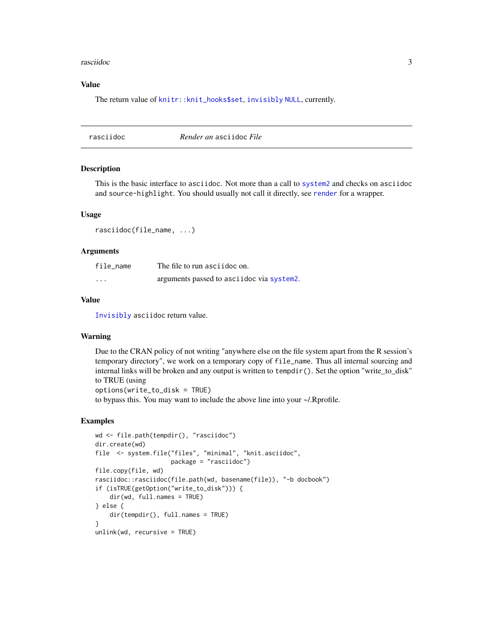#### <span id="page-2-0"></span>rasciidoc<sup>3</sup> and 3 and 3 and 3 and 3 and 3 and 3 and 3 and 3 and 3 and 3 and 3 and 3 and 3 and 3 and 3 and 3 and 3 and 3 and 3 and 3 and 3 and 3 and 3 and 3 and 3 and 3 and 3 and 3 and 3 and 3 and 3 and 3 and 3 and 3 and 3

#### Value

The return value of [knitr::knit\\_hooks\\$set](#page-0-0), [invisibly](#page-0-0) [NULL](#page-0-0), currently.

<span id="page-2-1"></span>rasciidoc *Render an* asciidoc *File*

#### Description

This is the basic interface to asciidoc. Not more than a call to [system2](#page-0-0) and checks on asciidoc and source-highlight. You should usually not call it directly, see [render](#page-3-1) for a wrapper.

#### Usage

rasciidoc(file\_name, ...)

#### Arguments

| file name | The file to run asciidoc on.               |
|-----------|--------------------------------------------|
| $\cdots$  | arguments passed to ascitudo cvia system2. |

#### Value

[Invisibly](#page-0-0) asciidoc return value.

#### Warning

Due to the CRAN policy of not writing "anywhere else on the file system apart from the R session's temporary directory", we work on a temporary copy of file\_name. Thus all internal sourcing and internal links will be broken and any output is written to tempdir(). Set the option "write\_to\_disk" to TRUE (using

options(write\_to\_disk = TRUE)

to bypass this. You may want to include the above line into your ~/.Rprofile.

#### Examples

```
wd <- file.path(tempdir(), "rasciidoc")
dir.create(wd)
file <- system.file("files", "minimal", "knit.asciidoc",
                     package = "rasciidoc")
file.copy(file, wd)
rasciidoc::rasciidoc(file.path(wd, basename(file)), "-b docbook")
if (isTRUE(getOption("write_to_disk"))) {
    dir(wd, full.names = TRUE)
} else {
    dir(tempdir(), full.names = TRUE)
}
unlink(wd, recursive = TRUE)
```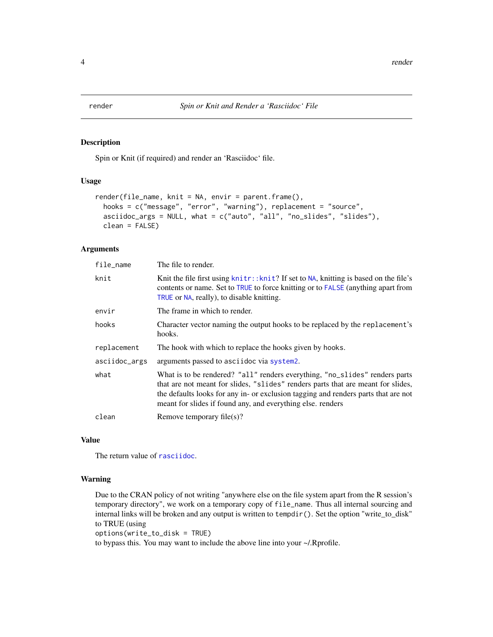<span id="page-3-1"></span><span id="page-3-0"></span>

#### Description

Spin or Knit (if required) and render an 'Rasciidoc' file.

#### Usage

```
render(file_name, knit = NA, envir = parent.frame(),
 hooks = c("message", "error", "warning"), replacement = "source",
 asciidoc_args = NULL, what = c("auto", "all", "no_slides", "slides"),
 clean = FALSE)
```
#### Arguments

| file_name     | The file to render.                                                                                                                                                                                                                                                                                                  |
|---------------|----------------------------------------------------------------------------------------------------------------------------------------------------------------------------------------------------------------------------------------------------------------------------------------------------------------------|
| knit          | Knit the file first using knitr:: knit? If set to NA, knitting is based on the file's<br>contents or name. Set to TRUE to force knitting or to FALSE (anything apart from<br>TRUE or NA, really), to disable knitting.                                                                                               |
| envir         | The frame in which to render.                                                                                                                                                                                                                                                                                        |
| hooks         | Character vector naming the output hooks to be replaced by the replacement's<br>hooks.                                                                                                                                                                                                                               |
| replacement   | The hook with which to replace the hooks given by hooks.                                                                                                                                                                                                                                                             |
| asciidoc_args | arguments passed to asciidoc via system2.                                                                                                                                                                                                                                                                            |
| what          | What is to be rendered? "all" renders everything, "no_slides" renders parts<br>that are not meant for slides, "slides" renders parts that are meant for slides,<br>the defaults looks for any in- or exclusion tagging and renders parts that are not<br>meant for slides if found any, and everything else. renders |
| clean         | Remove temporary file(s)?                                                                                                                                                                                                                                                                                            |

#### Value

The return value of [rasciidoc](#page-2-1).

#### Warning

Due to the CRAN policy of not writing "anywhere else on the file system apart from the R session's temporary directory", we work on a temporary copy of file\_name. Thus all internal sourcing and internal links will be broken and any output is written to tempdir(). Set the option "write\_to\_disk" to TRUE (using

options(write\_to\_disk = TRUE)

to bypass this. You may want to include the above line into your ~/.Rprofile.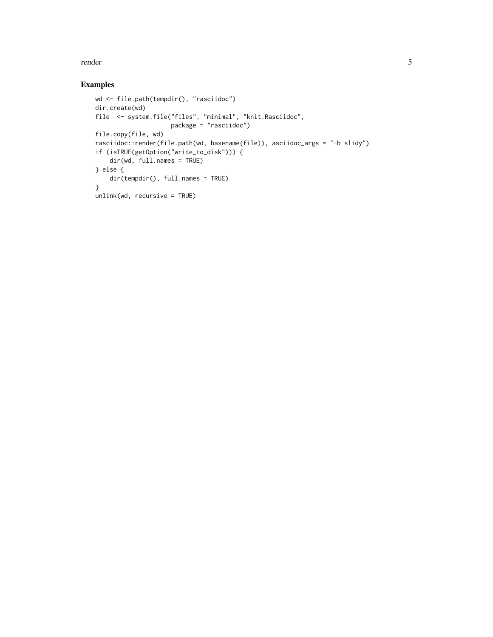#### render the state of the state of the state of the state of the state of the state of the state of the state of the state of the state of the state of the state of the state of the state of the state of the state of the sta

#### Examples

```
wd <- file.path(tempdir(), "rasciidoc")
dir.create(wd)
file <- system.file("files", "minimal", "knit.Rasciidoc",
                    package = "rasciidoc")
file.copy(file, wd)
rasciidoc::render(file.path(wd, basename(file)), asciidoc_args = "-b slidy")
if (isTRUE(getOption("write_to_disk"))) {
    dir(wd, full.names = TRUE)
} else {
    dir(tempdir(), full.names = TRUE)
}
unlink(wd, recursive = TRUE)
```